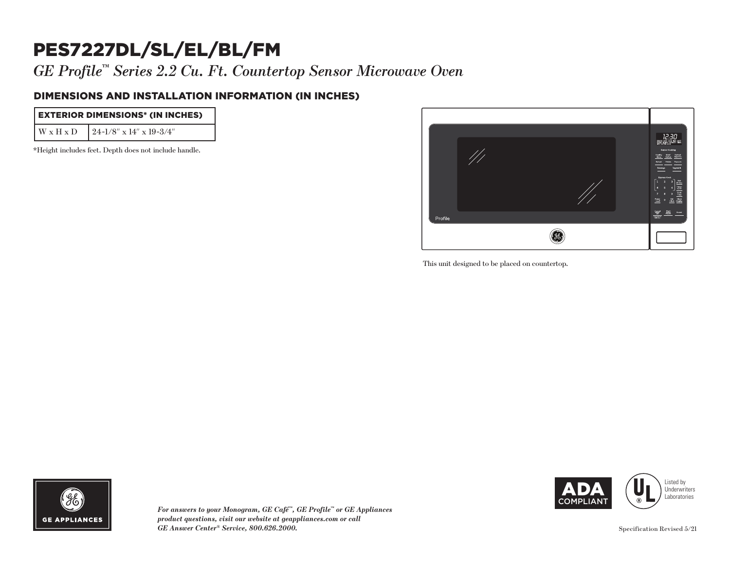# PES7227DL/SL/EL/BL/FM

*GE Profile™ Series 2.2 Cu. Ft. Countertop Sensor Microwave Oven*

#### DIMENSIONS AND INSTALLATION INFORMATION (IN INCHES)

| <b>EXTERIOR DIMENSIONS* (IN INCHES)</b> |                                               |
|-----------------------------------------|-----------------------------------------------|
|                                         | $W \times H \times D$ 24-1/8" x 14" x 19-3/4" |

\*Height includes feet. Depth does not include handle.



This unit designed to be placed on countertop.  $\mathbf{P}$ 



*For answers to your Monogram, GE Café™, GE Profile™ or GE Appliances product questions, visit our website at geappliances.com or call GE Answer Center® Service, 800.626.2000.*